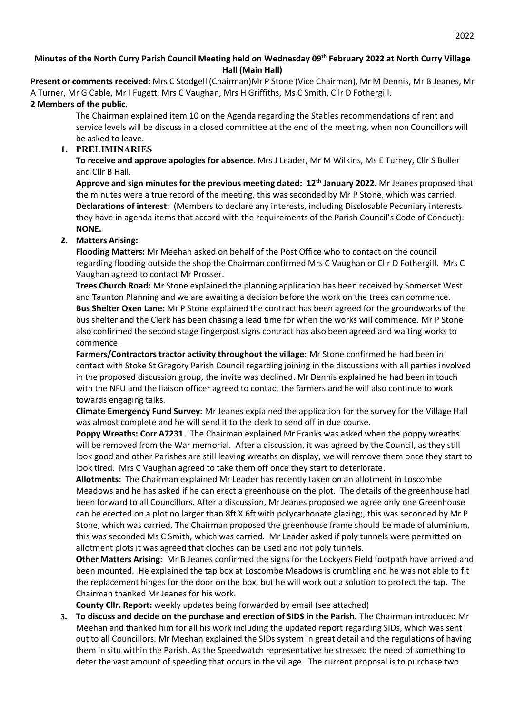### **Minutes of the North Curry Parish Council Meeting held on Wednesday 09th February 2022 at North Curry Village Hall (Main Hall)**

**Present or comments received**: Mrs C Stodgell (Chairman)Mr P Stone (Vice Chairman), Mr M Dennis, Mr B Jeanes, Mr A Turner, Mr G Cable, Mr I Fugett, Mrs C Vaughan, Mrs H Griffiths, Ms C Smith, Cllr D Fothergill. **2 Members of the public.** 

The Chairman explained item 10 on the Agenda regarding the Stables recommendations of rent and service levels will be discuss in a closed committee at the end of the meeting, when non Councillors will be asked to leave.

# **1. PRELIMINARIES**

**To receive and approve apologies for absence**. Mrs J Leader, Mr M Wilkins, Ms E Turney, Cllr S Buller and Cllr B Hall.

**Approve and sign minutes for the previous meeting dated: 12th January 2022.** Mr Jeanes proposed that the minutes were a true record of the meeting, this was seconded by Mr P Stone, which was carried. **Declarations of interest:** (Members to declare any interests, including Disclosable Pecuniary interests they have in agenda items that accord with the requirements of the Parish Council's Code of Conduct): **NONE.**

## **2. Matters Arising:**

**Flooding Matters:** Mr Meehan asked on behalf of the Post Office who to contact on the council regarding flooding outside the shop the Chairman confirmed Mrs C Vaughan or Cllr D Fothergill. Mrs C Vaughan agreed to contact Mr Prosser.

**Trees Church Road:** Mr Stone explained the planning application has been received by Somerset West and Taunton Planning and we are awaiting a decision before the work on the trees can commence. **Bus Shelter Oxen Lane:** Mr P Stone explained the contract has been agreed for the groundworks of the bus shelter and the Clerk has been chasing a lead time for when the works will commence. Mr P Stone also confirmed the second stage fingerpost signs contract has also been agreed and waiting works to commence.

**Farmers/Contractors tractor activity throughout the village:** Mr Stone confirmed he had been in contact with Stoke St Gregory Parish Council regarding joining in the discussions with all parties involved in the proposed discussion group, the invite was declined. Mr Dennis explained he had been in touch with the NFU and the liaison officer agreed to contact the farmers and he will also continue to work towards engaging talks.

**Climate Emergency Fund Survey:** Mr Jeanes explained the application for the survey for the Village Hall was almost complete and he will send it to the clerk to send off in due course.

**Poppy Wreaths: Corr A7231**. The Chairman explained Mr Franks was asked when the poppy wreaths will be removed from the War memorial. After a discussion, it was agreed by the Council, as they still look good and other Parishes are still leaving wreaths on display, we will remove them once they start to look tired. Mrs C Vaughan agreed to take them off once they start to deteriorate.

**Allotments:** The Chairman explained Mr Leader has recently taken on an allotment in Loscombe Meadows and he has asked if he can erect a greenhouse on the plot. The details of the greenhouse had been forward to all Councillors. After a discussion, Mr Jeanes proposed we agree only one Greenhouse can be erected on a plot no larger than 8ft X 6ft with polycarbonate glazing;, this was seconded by Mr P Stone, which was carried. The Chairman proposed the greenhouse frame should be made of aluminium, this was seconded Ms C Smith, which was carried. Mr Leader asked if poly tunnels were permitted on allotment plots it was agreed that cloches can be used and not poly tunnels.

**Other Matters Arising:** Mr B Jeanes confirmed the signs for the Lockyers Field footpath have arrived and been mounted. He explained the tap box at Loscombe Meadows is crumbling and he was not able to fit the replacement hinges for the door on the box, but he will work out a solution to protect the tap. The Chairman thanked Mr Jeanes for his work.

**County Cllr. Report:** weekly updates being forwarded by email (see attached)

**3. To discuss and decide on the purchase and erection of SIDS in the Parish.** The Chairman introduced Mr Meehan and thanked him for all his work including the updated report regarding SIDs, which was sent out to all Councillors. Mr Meehan explained the SIDs system in great detail and the regulations of having them in situ within the Parish. As the Speedwatch representative he stressed the need of something to deter the vast amount of speeding that occurs in the village. The current proposal is to purchase two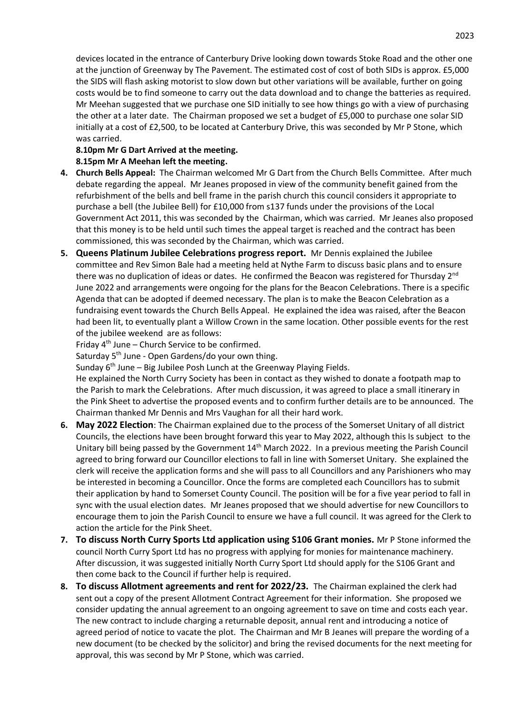devices located in the entrance of Canterbury Drive looking down towards Stoke Road and the other one at the junction of Greenway by The Pavement. The estimated cost of cost of both SIDs is approx. £5,000 the SIDS will flash asking motorist to slow down but other variations will be available, further on going costs would be to find someone to carry out the data download and to change the batteries as required. Mr Meehan suggested that we purchase one SID initially to see how things go with a view of purchasing the other at a later date. The Chairman proposed we set a budget of £5,000 to purchase one solar SID initially at a cost of £2,500, to be located at Canterbury Drive, this was seconded by Mr P Stone, which was carried.

**8.10pm Mr G Dart Arrived at the meeting.**

## **8.15pm Mr A Meehan left the meeting.**

- **4. Church Bells Appeal:** The Chairman welcomed Mr G Dart from the Church Bells Committee. After much debate regarding the appeal. Mr Jeanes proposed in view of the community benefit gained from the refurbishment of the bells and bell frame in the parish church this council considers it appropriate to purchase a bell (the Jubilee Bell) for £10,000 from s137 funds under the provisions of the Local Government Act 2011, this was seconded by the Chairman, which was carried. Mr Jeanes also proposed that this money is to be held until such times the appeal target is reached and the contract has been commissioned, this was seconded by the Chairman, which was carried.
- **5. Queens Platinum Jubilee Celebrations progress report.** Mr Dennis explained the Jubilee committee and Rev Simon Bale had a meeting held at Nythe Farm to discuss basic plans and to ensure there was no duplication of ideas or dates. He confirmed the Beacon was registered for Thursday 2<sup>nd</sup> June 2022 and arrangements were ongoing for the plans for the Beacon Celebrations. There is a specific Agenda that can be adopted if deemed necessary. The plan is to make the Beacon Celebration as a fundraising event towards the Church Bells Appeal. He explained the idea was raised, after the Beacon had been lit, to eventually plant a Willow Crown in the same location. Other possible events for the rest of the jubilee weekend are as follows:

Friday  $4<sup>th</sup>$  June – Church Service to be confirmed.

Saturday 5<sup>th</sup> June - Open Gardens/do your own thing.

Sunday  $6<sup>th</sup>$  June – Big Jubilee Posh Lunch at the Greenway Playing Fields.

He explained the North Curry Society has been in contact as they wished to donate a footpath map to the Parish to mark the Celebrations. After much discussion, it was agreed to place a small itinerary in the Pink Sheet to advertise the proposed events and to confirm further details are to be announced. The Chairman thanked Mr Dennis and Mrs Vaughan for all their hard work.

- **6. May 2022 Election**: The Chairman explained due to the process of the Somerset Unitary of all district Councils, the elections have been brought forward this year to May 2022, although this Is subject to the Unitary bill being passed by the Government 14<sup>th</sup> March 2022. In a previous meeting the Parish Council agreed to bring forward our Councillor elections to fall in line with Somerset Unitary. She explained the clerk will receive the application forms and she will pass to all Councillors and any Parishioners who may be interested in becoming a Councillor. Once the forms are completed each Councillors has to submit their application by hand to Somerset County Council. The position will be for a five year period to fall in sync with the usual election dates. Mr Jeanes proposed that we should advertise for new Councillors to encourage them to join the Parish Council to ensure we have a full council. It was agreed for the Clerk to action the article for the Pink Sheet.
- **7. To discuss North Curry Sports Ltd application using S106 Grant monies.** Mr P Stone informed the council North Curry Sport Ltd has no progress with applying for monies for maintenance machinery. After discussion, it was suggested initially North Curry Sport Ltd should apply for the S106 Grant and then come back to the Council if further help is required.
- **8. To discuss Allotment agreements and rent for 2022/23.** The Chairman explained the clerk had sent out a copy of the present Allotment Contract Agreement for their information. She proposed we consider updating the annual agreement to an ongoing agreement to save on time and costs each year. The new contract to include charging a returnable deposit, annual rent and introducing a notice of agreed period of notice to vacate the plot. The Chairman and Mr B Jeanes will prepare the wording of a new document (to be checked by the solicitor) and bring the revised documents for the next meeting for approval, this was second by Mr P Stone, which was carried.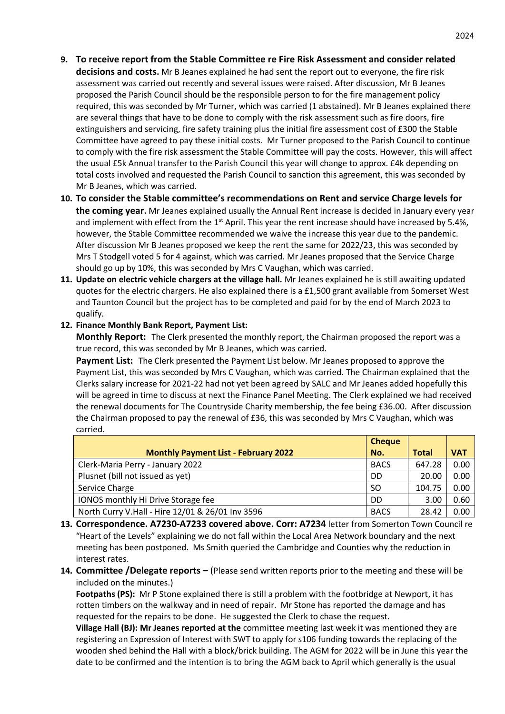- **9. To receive report from the Stable Committee re Fire Risk Assessment and consider related decisions and costs.** Mr B Jeanes explained he had sent the report out to everyone, the fire risk assessment was carried out recently and several issues were raised. After discussion, Mr B Jeanes proposed the Parish Council should be the responsible person to for the fire management policy required, this was seconded by Mr Turner, which was carried (1 abstained). Mr B Jeanes explained there are several things that have to be done to comply with the risk assessment such as fire doors, fire extinguishers and servicing, fire safety training plus the initial fire assessment cost of £300 the Stable Committee have agreed to pay these initial costs. Mr Turner proposed to the Parish Council to continue to comply with the fire risk assessment the Stable Committee will pay the costs. However, this will affect the usual £5k Annual transfer to the Parish Council this year will change to approx. £4k depending on total costs involved and requested the Parish Council to sanction this agreement, this was seconded by Mr B Jeanes, which was carried.
- **10. To consider the Stable committee's recommendations on Rent and service Charge levels for the coming year.** Mr Jeanes explained usually the Annual Rent increase is decided in January every year and implement with effect from the  $1<sup>st</sup>$  April. This year the rent increase should have increased by 5.4%, however, the Stable Committee recommended we waive the increase this year due to the pandemic. After discussion Mr B Jeanes proposed we keep the rent the same for 2022/23, this was seconded by Mrs T Stodgell voted 5 for 4 against, which was carried. Mr Jeanes proposed that the Service Charge should go up by 10%, this was seconded by Mrs C Vaughan, which was carried.
- **11. Update on electric vehicle chargers at the village hall.** Mr Jeanes explained he is still awaiting updated quotes for the electric chargers. He also explained there is a £1,500 grant available from Somerset West and Taunton Council but the project has to be completed and paid for by the end of March 2023 to qualify.

### **12. Finance Monthly Bank Report, Payment List:**

**Monthly Report:** The Clerk presented the monthly report, the Chairman proposed the report was a true record, this was seconded by Mr B Jeanes, which was carried.

**Payment List:** The Clerk presented the Payment List below. Mr Jeanes proposed to approve the Payment List, this was seconded by Mrs C Vaughan, which was carried. The Chairman explained that the Clerks salary increase for 2021-22 had not yet been agreed by SALC and Mr Jeanes added hopefully this will be agreed in time to discuss at next the Finance Panel Meeting. The Clerk explained we had received the renewal documents for The Countryside Charity membership, the fee being £36.00. After discussion the Chairman proposed to pay the renewal of £36, this was seconded by Mrs C Vaughan, which was carried.

|                                                  | <b>Cheque</b> |              |            |
|--------------------------------------------------|---------------|--------------|------------|
| <b>Monthly Payment List - February 2022</b>      | No.           | <b>Total</b> | <b>VAT</b> |
| Clerk-Maria Perry - January 2022                 | <b>BACS</b>   | 647.28       | 0.00       |
| Plusnet (bill not issued as yet)                 | DD            | 20.00        | 0.00       |
| Service Charge                                   | SO.           | 104.75       | 0.00       |
| IONOS monthly Hi Drive Storage fee               | DD            | 3.00         | 0.60       |
| North Curry V.Hall - Hire 12/01 & 26/01 Inv 3596 | <b>BACS</b>   | 28.42        | 0.00       |

- **13. Correspondence. A7230-A7233 covered above. Corr: A7234** letter from Somerton Town Council re "Heart of the Levels" explaining we do not fall within the Local Area Network boundary and the next meeting has been postponed. Ms Smith queried the Cambridge and Counties why the reduction in interest rates.
- **14. Committee /Delegate reports –** (Please send written reports prior to the meeting and these will be included on the minutes.)

**Footpaths (PS):** Mr P Stone explained there is still a problem with the footbridge at Newport, it has rotten timbers on the walkway and in need of repair. Mr Stone has reported the damage and has requested for the repairs to be done. He suggested the Clerk to chase the request.

**Village Hall (BJ): Mr Jeanes reported at the** committee meeting last week it was mentioned they are registering an Expression of Interest with SWT to apply for s106 funding towards the replacing of the wooden shed behind the Hall with a block/brick building. The AGM for 2022 will be in June this year the date to be confirmed and the intention is to bring the AGM back to April which generally is the usual